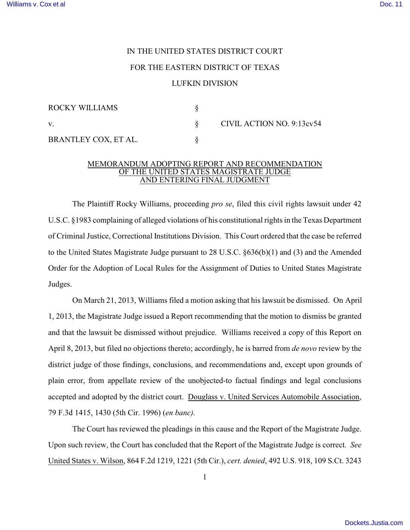## IN THE UNITED STATES DISTRICT COURT FOR THE EASTERN DISTRICT OF TEXAS LUFKIN DIVISION

| ROCKY WILLIAMS       |                           |
|----------------------|---------------------------|
| V.                   | CIVIL ACTION NO. 9:13cv54 |
| BRANTLEY COX, ET AL. |                           |

## MEMORANDUM ADOPTING REPORT AND RECOMMENDATION OF THE UNITED STATES MAGISTRATE JUDGE AND ENTERING FINAL JUDGMENT

The Plaintiff Rocky Williams, proceeding *pro se*, filed this civil rights lawsuit under 42 U.S.C. §1983 complaining of alleged violations of his constitutional rights in the Texas Department of Criminal Justice, Correctional Institutions Division. This Court ordered that the case be referred to the United States Magistrate Judge pursuant to 28 U.S.C. §636(b)(1) and (3) and the Amended Order for the Adoption of Local Rules for the Assignment of Duties to United States Magistrate Judges.

On March 21, 2013, Williams filed a motion asking that hislawsuit be dismissed. On April 1, 2013, the Magistrate Judge issued a Report recommending that the motion to dismiss be granted and that the lawsuit be dismissed without prejudice. Williams received a copy of this Report on April 8, 2013, but filed no objections thereto; accordingly, he is barred from *de novo* review by the district judge of those findings, conclusions, and recommendations and, except upon grounds of plain error, from appellate review of the unobjected-to factual findings and legal conclusions accepted and adopted by the district court. Douglass v. United Services Automobile Association, 79 F.3d 1415, 1430 (5th Cir. 1996) (*en banc)*.

The Court has reviewed the pleadings in this cause and the Report of the Magistrate Judge. Upon such review, the Court has concluded that the Report of the Magistrate Judge is correct. *See* United States v. Wilson, 864 F.2d 1219, 1221 (5th Cir.), *cert. denied*, 492 U.S. 918, 109 S.Ct. 3243